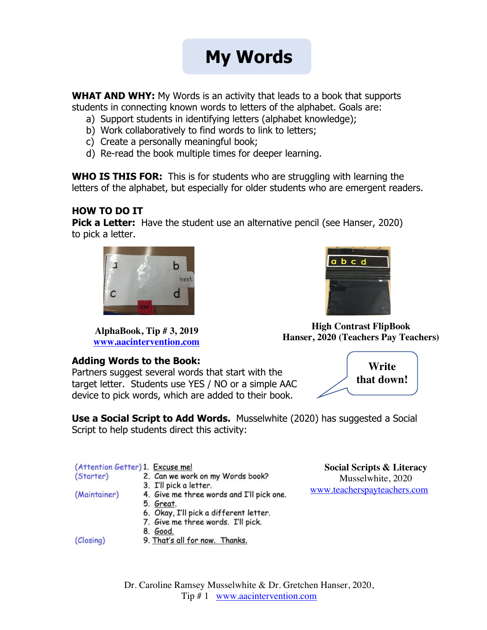# **My Words**

**WHAT AND WHY:** My Words is an activity that leads to a book that supports students in connecting known words to letters of the alphabet. Goals are:

- a) Support students in identifying letters (alphabet knowledge);
- b) Work collaboratively to find words to link to letters;
- c) Create a personally meaningful book;
- d) Re-read the book multiple times for deeper learning.

**WHO IS THIS FOR:** This is for students who are struggling with learning the letters of the alphabet, but especially for older students who are emergent readers.

### **HOW TO DO IT**

**Pick a Letter:** Have the student use an alternative pencil (see Hanser, 2020) to pick a letter.



**www.aacintervention.com**

# abcd

**High Contrast FlipBook Hanser, 2020 (Teachers Pay Teachers) AlphaBook, Tip # 3, 2019**

#### **Adding Words to the Book:**

Partners suggest several words that start with the target letter. Students use YES / NO or a simple AAC device to pick words, which are added to their book.



**Use a Social Script to Add Words.** Musselwhite (2020) has suggested a Social Script to help students direct this activity:

| (Attention Getter) 1. Excuse me! |                                                                                                  | Social Scripts & Literacy                        |
|----------------------------------|--------------------------------------------------------------------------------------------------|--------------------------------------------------|
| (Starter)                        | 2. Can we work on my Words book?<br>3. I'll pick a letter.                                       | Musselwhite, 2020<br>www.teacherspayteachers.com |
| (Maintainer)                     | 4. Give me three words and I'll pick one.<br>5. Great.<br>6. Okay, I'll pick a different letter. |                                                  |
| (Closing)                        | 7. Give me three words. I'll pick.<br>8. Good.<br>9. That's all for now. Thanks.                 |                                                  |